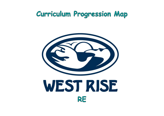# Curriculum Progression Map



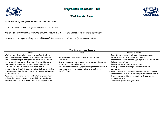

# Progression Document - RE

## West Rise Curriculum

## **At West Rise, we grow respectful thinkers who…**

*Know how to understand a range of religions and worldviews.* 

*Are able to express ideas and insights about the nature, significance and impact of religions and worldviews*

*Understand how to gain and deploy the skills needed to engage seriously with religions and worldviews*

| West Rise Aims and Purpose                                                                                                                                                                                                                                                                                                                                                                                                                                                                                                                                                                                                                                                                                                                                          |                                                                                                                                                                                                                                                                                                                              |                                                                                                                                                                                                                                              |
|---------------------------------------------------------------------------------------------------------------------------------------------------------------------------------------------------------------------------------------------------------------------------------------------------------------------------------------------------------------------------------------------------------------------------------------------------------------------------------------------------------------------------------------------------------------------------------------------------------------------------------------------------------------------------------------------------------------------------------------------------------------------|------------------------------------------------------------------------------------------------------------------------------------------------------------------------------------------------------------------------------------------------------------------------------------------------------------------------------|----------------------------------------------------------------------------------------------------------------------------------------------------------------------------------------------------------------------------------------------|
| <b>Intent</b>                                                                                                                                                                                                                                                                                                                                                                                                                                                                                                                                                                                                                                                                                                                                                       | Aims                                                                                                                                                                                                                                                                                                                         |                                                                                                                                                                                                                                              |
| RE plays a significant role in the promotion of spiritual, moral,<br>social, cultural development and an understanding of British<br>values. This enables pupils to appreciate their own and others'<br>beliefs and cultures and how these impact on individuals and<br>communities. It places specific emphasis on pupils valuing<br>themselves and others. It helps them to develop an<br>understanding of the significance of religion in the world today.<br>It also prepares them for the opportunities, responsibilities and<br>experiences of life.<br>RE actively promotes values such as; truth, trust, commitment,<br>patience, forgiveness, courage, responsibility, reconciliation,<br>tolerance, hope, justice, equality, freedom and respect for all. | Know about and understand a range of religions and<br>worldviews.<br>Express ideas and insights about the nature, significance and<br>impact of religions and worldviews.<br>Gain the skills needed to engage with religions and worldviews.<br>Are encouraged to learn about religion and explore the<br>beliefs of others; | Expand their per<br>exploring beliefs<br>Consider their ow<br>to learn from rel<br>Develop a sense c<br>Develop their sel<br>confidence<br>Accept responsib<br>understand how t<br>those living and w<br>society more wid<br>Team work (pair |



#### **Character Traits**

- expand development through openness,
- and questions and meanings
- wn experiences, giving rise to the opportunity igion
- of identity and belonging
- If-knowledge, self-esteem and self-

bility for their behaviour, show initiative and they can contribute positively to the lives of working in the locality of the school and to lely.

red work/group work)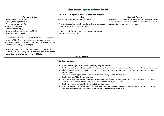## East Sussex Agreed Syllabus for RE

|                                                                  | East Sussex Agreed Syllabus Aims and Purpose                                                                                                                                                                                                                                                                                                                                                                                                                                                                                                                                                                                                                                                                                                                                                                                                    |                           |  |  |
|------------------------------------------------------------------|-------------------------------------------------------------------------------------------------------------------------------------------------------------------------------------------------------------------------------------------------------------------------------------------------------------------------------------------------------------------------------------------------------------------------------------------------------------------------------------------------------------------------------------------------------------------------------------------------------------------------------------------------------------------------------------------------------------------------------------------------------------------------------------------------------------------------------------------------|---------------------------|--|--|
| Purpose of Study                                                 | Aims                                                                                                                                                                                                                                                                                                                                                                                                                                                                                                                                                                                                                                                                                                                                                                                                                                            |                           |  |  |
| To make connections between                                      | The East Sussex RE Agreed Syllabus aims to:                                                                                                                                                                                                                                                                                                                                                                                                                                                                                                                                                                                                                                                                                                                                                                                                     | By the end of Key Stag    |  |  |
| · Beliefs, teachings and sources                                 |                                                                                                                                                                                                                                                                                                                                                                                                                                                                                                                                                                                                                                                                                                                                                                                                                                                 | fuller picture of religio |  |  |
| • Practices and ways of life                                     | Promote the spiritual, moral, mental and physical development                                                                                                                                                                                                                                                                                                                                                                                                                                                                                                                                                                                                                                                                                                                                                                                   | join together to form o   |  |  |
| • Forms of expression                                            | of pupils at the school and of society.                                                                                                                                                                                                                                                                                                                                                                                                                                                                                                                                                                                                                                                                                                                                                                                                         |                           |  |  |
| • Identity and belonging                                         |                                                                                                                                                                                                                                                                                                                                                                                                                                                                                                                                                                                                                                                                                                                                                                                                                                                 |                           |  |  |
| • Questions of meaning, purpose and truth                        | Prepare pupils for the opportunities, responsibilities and                                                                                                                                                                                                                                                                                                                                                                                                                                                                                                                                                                                                                                                                                                                                                                                      |                           |  |  |
| • Values and commitments                                         | experiences of adult life                                                                                                                                                                                                                                                                                                                                                                                                                                                                                                                                                                                                                                                                                                                                                                                                                       |                           |  |  |
| To be able to consider how people's beliefs affect their actions |                                                                                                                                                                                                                                                                                                                                                                                                                                                                                                                                                                                                                                                                                                                                                                                                                                                 |                           |  |  |
| and ways of life. They are encouraged to consider how people's   |                                                                                                                                                                                                                                                                                                                                                                                                                                                                                                                                                                                                                                                                                                                                                                                                                                                 |                           |  |  |
| beliefs are expressed in different ways and how these impact on  |                                                                                                                                                                                                                                                                                                                                                                                                                                                                                                                                                                                                                                                                                                                                                                                                                                                 |                           |  |  |
| their sense of identity and belonging.                           |                                                                                                                                                                                                                                                                                                                                                                                                                                                                                                                                                                                                                                                                                                                                                                                                                                                 |                           |  |  |
| To recognise and understand similarities and differences within  |                                                                                                                                                                                                                                                                                                                                                                                                                                                                                                                                                                                                                                                                                                                                                                                                                                                 |                           |  |  |
| and between religions. They are also becoming more aware of the  |                                                                                                                                                                                                                                                                                                                                                                                                                                                                                                                                                                                                                                                                                                                                                                                                                                                 |                           |  |  |
| place and relevance of religion in the world today.              |                                                                                                                                                                                                                                                                                                                                                                                                                                                                                                                                                                                                                                                                                                                                                                                                                                                 |                           |  |  |
|                                                                  | Subject Content                                                                                                                                                                                                                                                                                                                                                                                                                                                                                                                                                                                                                                                                                                                                                                                                                                 |                           |  |  |
|                                                                  |                                                                                                                                                                                                                                                                                                                                                                                                                                                                                                                                                                                                                                                                                                                                                                                                                                                 |                           |  |  |
|                                                                  | Pupils should be taught to:                                                                                                                                                                                                                                                                                                                                                                                                                                                                                                                                                                                                                                                                                                                                                                                                                     |                           |  |  |
|                                                                  | develop a knowledge and understanding of key religious concepts;<br>develop the ability to contribute positively to society and cultivate an understanding<br>value both the commonality and diversity present in the world through gaining an und<br>world religions;<br>consider their own experiences, giving rise to the opportunity to learn from religion<br>develop a sense of identity and belonging.<br>accept responsibility for their behaviour, show initiative and understand how they co<br>those living and working in the locality of the school and to society more widely.<br>develop spiritual, moral, social, cultural and ethical awareness.<br>have an acceptance that other people having different faiths or beliefs to oneself (<br>tolerated, and should not be the cause of prejudicial or discriminatory behaviour. |                           |  |  |

#### **Attainment Targets**

By tage 2 it is expected that children can see a ligion in the world and how aspects of religion  $\mathbf{r}$ m a coherent whole.

ding and respect for others and themselves; understanding and respect for the main

ey can contribute positively to the lives of

lf (or having none) should be accepted and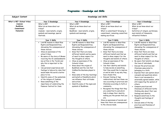| Subject Content                                      | Knowledge and Skills                                                                                                                                                                                                                                                                                                                                                                                                                                                                                                                                                                                                                             |                                                                                                                                                                                                                                                                                                                                                                                                                                                                                                                                                                           |                                                                                                                                                                                                                                                                                                                                                                                                                                                                                                                                                                                                                                                                                                                                                                                                                                                                                   |                                                                                                                                                                                                                                                                                                                                                                                                                                                                                                                                                                                                                                                                                                                                                                                                                                             |
|------------------------------------------------------|--------------------------------------------------------------------------------------------------------------------------------------------------------------------------------------------------------------------------------------------------------------------------------------------------------------------------------------------------------------------------------------------------------------------------------------------------------------------------------------------------------------------------------------------------------------------------------------------------------------------------------------------------|---------------------------------------------------------------------------------------------------------------------------------------------------------------------------------------------------------------------------------------------------------------------------------------------------------------------------------------------------------------------------------------------------------------------------------------------------------------------------------------------------------------------------------------------------------------------------|-----------------------------------------------------------------------------------------------------------------------------------------------------------------------------------------------------------------------------------------------------------------------------------------------------------------------------------------------------------------------------------------------------------------------------------------------------------------------------------------------------------------------------------------------------------------------------------------------------------------------------------------------------------------------------------------------------------------------------------------------------------------------------------------------------------------------------------------------------------------------------------|---------------------------------------------------------------------------------------------------------------------------------------------------------------------------------------------------------------------------------------------------------------------------------------------------------------------------------------------------------------------------------------------------------------------------------------------------------------------------------------------------------------------------------------------------------------------------------------------------------------------------------------------------------------------------------------------------------------------------------------------------------------------------------------------------------------------------------------------|
| What is RE? / School tribes                          | Year 3 Knowledge                                                                                                                                                                                                                                                                                                                                                                                                                                                                                                                                                                                                                                 | Year 4 Knowledge                                                                                                                                                                                                                                                                                                                                                                                                                                                                                                                                                          | Year 5 Knowledge                                                                                                                                                                                                                                                                                                                                                                                                                                                                                                                                                                                                                                                                                                                                                                                                                                                                  | Year 6 Knowledge                                                                                                                                                                                                                                                                                                                                                                                                                                                                                                                                                                                                                                                                                                                                                                                                                            |
| Judaism<br><b>Buddhism</b><br>Commitment<br>Humanism | What is RE?<br>What do we know about our<br>tribes?<br>Judaism - main beliefs, origins,<br>symbols and meanings, special<br>festivals.                                                                                                                                                                                                                                                                                                                                                                                                                                                                                                           | What is RE?<br>What do we know about our<br>tribes?<br>Buddhism - main beliefs, origins,<br>symbols and meanings                                                                                                                                                                                                                                                                                                                                                                                                                                                          | What is RE?<br>What do we know about our<br>tribes?<br>What is commitment? Growing in<br>commitment, remaining committed,<br>making sacrifices                                                                                                                                                                                                                                                                                                                                                                                                                                                                                                                                                                                                                                                                                                                                    | What is RE?<br>What do we know about our<br>tribes?<br>Definition of religion, worldviews,<br>main beliefs of Humanists,<br>influential thinkers                                                                                                                                                                                                                                                                                                                                                                                                                                                                                                                                                                                                                                                                                            |
|                                                      | Year 3 Skills                                                                                                                                                                                                                                                                                                                                                                                                                                                                                                                                                                                                                                    | Year 4 Skills                                                                                                                                                                                                                                                                                                                                                                                                                                                                                                                                                             | Year 5 Skills                                                                                                                                                                                                                                                                                                                                                                                                                                                                                                                                                                                                                                                                                                                                                                                                                                                                     | Year 6 Skills                                                                                                                                                                                                                                                                                                                                                                                                                                                                                                                                                                                                                                                                                                                                                                                                                               |
|                                                      | Link RE lessons to West Rise<br>$\bullet$<br>Rights and Responsibilities,<br>discussing the consequences of<br>these choices<br>Show an awareness of the<br>school tribes.<br>Be aware of the story of Moses<br>receiving the 10 commandments<br>(as written in the Torah) and<br>why this is important to the<br>Jews.<br>Use personal experiences and<br>$\bullet$<br>feelings to help write rules that<br>would make the world a better<br>place to live.<br>Identify some of the symbolism<br>$\bullet$<br>of the religion of Judaism.<br>Know something of the<br>$\bullet$<br>importance of celebrating the<br>Passover festival for Jews. | Link RE lessons to West Rise<br>Rights and Responsibilities,<br>discussing the consequences of<br>these choices<br>Know that there are many<br>different beliefs and be aware<br>of need to show respect for<br>the thoughts of others.<br>Show an awareness of the<br>Schools tribes.<br>Know about the origins of<br>Buddhism and the role that<br>Siddhartha Gautama played in<br>this.<br>Know some of the key teachings<br>and beliefs of Buddhists which<br>can influence their attitudes<br>and actions.<br>Identify some of the signs and<br>symbols of Buddhism. | Link RE lessons to West Rise<br>Rights and Responsibilities,<br>discussing the consequences of<br>these choices<br>Know that there are many<br>different beliefs and that we<br>need to show respect for the<br>thoughts and beliefs of others.<br>Show an awareness of the<br>Schools tribes.<br>Use their identity and beliefs<br>$\bullet$<br>to help decide on something<br>that they would like to improve<br>at and be able to say why they<br>have chosen this.<br>• Discuss 'Coming of Age<br>celebrations' and how these can<br>vary according to practices and<br>lifestyles according to faith or<br>community.<br>Recognise the things that they<br>$\bullet$<br>are committed to and which<br>help to shape their identity,<br>making you the person that you<br>are.<br>Show an awareness of morals and<br>know that there are consequences<br>to the choices made. | Link RE lessons to West Rise<br>Rights and Responsibilities,<br>discussing the consequences of<br>these choices<br>Know that there are many<br>different beliefs and that we<br>need to show respect for the<br>thoughts of others.<br>Be aware that beliefs can shape<br>the lives of individuals.<br>Discuss the practices and<br>lifestyles associated to<br>belonging to a faith.<br>Express their own opinion about<br>concepts and questions where<br>there is not necessarily a<br>universally agreed answer, while<br>still respecting the opinion of<br>others.<br>Compare practices and<br>lifestyles of different faiths<br>thinking also about their own<br>feelings and identity.<br>Respond sensitively to the<br>thoughts and feelings of<br>others.<br>Discuss some of the key<br>practices and lifestyles of<br>Humanists. |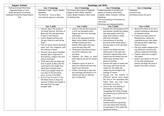| Subject Content                                                                                   | Knowledge and Skills                                                                                                                                                                                                                                                                                                                                                                                                                                                                                                                                                                                                                                                                                                                                                                                              |                                                                                                                                                                                                                                                                                                                                                                                                                                                                                                                                                                                                                                                      |                                                                                                                                                                                                                                                                                                                                                                                                                                                                                                                                                                                                                                                                                                                                                                                                                                                                                                                                                                                                                                                                                                                                |                                                                                                                                                                                                                                                                                                                                                                                                                                                                                         |
|---------------------------------------------------------------------------------------------------|-------------------------------------------------------------------------------------------------------------------------------------------------------------------------------------------------------------------------------------------------------------------------------------------------------------------------------------------------------------------------------------------------------------------------------------------------------------------------------------------------------------------------------------------------------------------------------------------------------------------------------------------------------------------------------------------------------------------------------------------------------------------------------------------------------------------|------------------------------------------------------------------------------------------------------------------------------------------------------------------------------------------------------------------------------------------------------------------------------------------------------------------------------------------------------------------------------------------------------------------------------------------------------------------------------------------------------------------------------------------------------------------------------------------------------------------------------------------------------|--------------------------------------------------------------------------------------------------------------------------------------------------------------------------------------------------------------------------------------------------------------------------------------------------------------------------------------------------------------------------------------------------------------------------------------------------------------------------------------------------------------------------------------------------------------------------------------------------------------------------------------------------------------------------------------------------------------------------------------------------------------------------------------------------------------------------------------------------------------------------------------------------------------------------------------------------------------------------------------------------------------------------------------------------------------------------------------------------------------------------------|-----------------------------------------------------------------------------------------------------------------------------------------------------------------------------------------------------------------------------------------------------------------------------------------------------------------------------------------------------------------------------------------------------------------------------------------------------------------------------------------|
| Festivals of light/Christmas                                                                      | Year 3 Knowledge                                                                                                                                                                                                                                                                                                                                                                                                                                                                                                                                                                                                                                                                                                                                                                                                  | Year 4 Knowledge                                                                                                                                                                                                                                                                                                                                                                                                                                                                                                                                                                                                                                     | Year 5 Knowledge                                                                                                                                                                                                                                                                                                                                                                                                                                                                                                                                                                                                                                                                                                                                                                                                                                                                                                                                                                                                                                                                                                               | Year 6 Knowledge                                                                                                                                                                                                                                                                                                                                                                                                                                                                        |
| Paganism/People of faith<br>Books and places of worship<br>Humanism/Armistice/Human Rights<br>Day | Festivals of light - Diwali, Advent,<br>Hanukkah.<br>The Nativity - focus on Mary<br>receiving the news of a new baby.                                                                                                                                                                                                                                                                                                                                                                                                                                                                                                                                                                                                                                                                                            | The history and origins of Paganism<br>People of faith; Rabbi Jonathan<br>Sacks, Malala Yousafzai, Bear Grylls<br>St Andrews Day                                                                                                                                                                                                                                                                                                                                                                                                                                                                                                                     | Comparing books of worship and<br>places of worship; Christianity,<br>Judaism, Islam, Hinduism, Sikhism,<br>Buddhism<br>The true meaning of Christmas for<br>Christians<br>Christmas and commercialisation                                                                                                                                                                                                                                                                                                                                                                                                                                                                                                                                                                                                                                                                                                                                                                                                                                                                                                                     | Humanism<br>Armistice Day<br>Christmas around the world                                                                                                                                                                                                                                                                                                                                                                                                                                 |
|                                                                                                   | Year 3 Skills                                                                                                                                                                                                                                                                                                                                                                                                                                                                                                                                                                                                                                                                                                                                                                                                     | Year 4 Skills                                                                                                                                                                                                                                                                                                                                                                                                                                                                                                                                                                                                                                        | Year 5 Skills<br>Examine the link between worth                                                                                                                                                                                                                                                                                                                                                                                                                                                                                                                                                                                                                                                                                                                                                                                                                                                                                                                                                                                                                                                                                | Year 6 Skills<br>Work with others to act out a                                                                                                                                                                                                                                                                                                                                                                                                                                          |
|                                                                                                   | • Find out about the origins of<br>the Diwali festival, the story of<br>Rama and Sita and importance<br>of light in this festival<br>Look at Rangoli patterns and<br>the way these are used during<br>Diwali.<br>Find out about Advent and think<br>about how this compares with<br>the festival of Diwali.<br>Discover facts about Hanukkah<br>and why light is important in<br>this festival, compare this with<br>Advent and Diwali.<br>Think about why the angel was<br>sent to speak to Mary and the<br>conversation that might have<br>taken place between them<br>Create your puppet ready for<br>your play of the Christmas<br>story, as told in the Bible.<br>Act out the first part of the<br>Christmas story to show the<br>reaction of Mary and Joseph to<br>the news that the angel<br>brought them. | Listen to the key facts and join<br>in with the discussion about<br>Pagans and their key teachings<br>and beliefs.<br>Join in the discussions about<br>Rabbi Sacks, Malala Yousafzai<br>and Bear Grylls and their<br>beliefs. Why might they have<br>acted the way they did?<br>Think about how shared values<br>can affect behaviour and<br>outcomes.<br>Complete the sheet to show<br>what inspires you and the reason<br>why.<br>Complete a piece of work to<br>show your beliefs and how they<br>impact your decisions.<br>• Create a mind map to show the<br>key teachings and beliefs of St<br>Andrew and why St Andrews<br>day is celebrated. | $\bullet$<br>and worship considering reasons<br>why some people within the<br>same faith choose to adopt<br>different lifestyles.<br>Discuss places of worship,<br>$\bullet$<br>practices within these places<br>and the roles of their spiritual<br>leaders.<br>Look at the similarities and<br>differences in the ways that<br>different religions show their<br>beliefs and the similarities and<br>differences between their<br>places of worship.<br>Discuss the types of books that<br>$\bullet$<br>they enjoy and value and the<br>reason for this while also<br>respecting the thoughts and<br>feelings of others.<br>Discuss how the content of<br>different sacred texts shape<br>the lives of the individuals who<br>follow them and help them<br>contribute to society.<br>Look at the true meaning of<br>$\bullet$<br>Christmas for Christians,<br>recognising that these feelings<br>and beliefs may be different to<br>their own.<br>• Take part in the debate about<br>Christmas and<br>commercialisation expressing<br>your own values while showing<br>an awareness of the values and<br>opinions of others. | scenario showing an awareness<br>of Humanist morals.<br>Create an acrostic poem for<br>Remembrance, taking into<br>consideration your own values<br>and opinion while respecting<br>those of others.<br>Plan your lesson comparing the<br>way different countries and<br>cultures celebrate Christmas.<br>• Prepare resources to support<br>this lesson<br>Deliver your lesson to the rest<br>of the class showing how<br>beliefs can shape the lives of<br>people from other cultures. |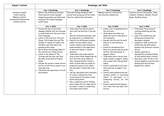| Subject Content                                                                                                 | Knowledge and Skills                                                                                                                                                                                                                                                                                                                                                                                                                                                                                                                                                                                           |                                                                                                                                                                                                                                                                                                                                                                                                                                                                                                                                                                                                  |                                                                                                                                                                                                                                                                                                                                                                                                                                                                                                                                 |                                                                                                                                                                                                                                                                                                                                                                                                                                                                                                                               |
|-----------------------------------------------------------------------------------------------------------------|----------------------------------------------------------------------------------------------------------------------------------------------------------------------------------------------------------------------------------------------------------------------------------------------------------------------------------------------------------------------------------------------------------------------------------------------------------------------------------------------------------------------------------------------------------------------------------------------------------------|--------------------------------------------------------------------------------------------------------------------------------------------------------------------------------------------------------------------------------------------------------------------------------------------------------------------------------------------------------------------------------------------------------------------------------------------------------------------------------------------------------------------------------------------------------------------------------------------------|---------------------------------------------------------------------------------------------------------------------------------------------------------------------------------------------------------------------------------------------------------------------------------------------------------------------------------------------------------------------------------------------------------------------------------------------------------------------------------------------------------------------------------|-------------------------------------------------------------------------------------------------------------------------------------------------------------------------------------------------------------------------------------------------------------------------------------------------------------------------------------------------------------------------------------------------------------------------------------------------------------------------------------------------------------------------------|
| Parables & fables<br>Food & fasting<br>Making a positive<br>contribution/communities<br><b>Creation stories</b> | Year 3 Knowledge<br>What is the difference between<br>literal and non-literal sayings?<br>Comparing parables and fables and<br>looking at the hidden messages<br>within these.                                                                                                                                                                                                                                                                                                                                                                                                                                 | Year 4 Knowledge<br>Food and Fasting; Religious rules<br>around food, giving up certain foods,<br>food for celebrations and feasts                                                                                                                                                                                                                                                                                                                                                                                                                                                               | Year 5 Knowledge<br>Making a positive contribution;<br>charities and communities                                                                                                                                                                                                                                                                                                                                                                                                                                                | Year 6 Knowledge<br>Creation stories; Christianity, Islam,<br>Judaism, Hinduism, Sikhism, Ancient<br>Egypt, Big Bang theory                                                                                                                                                                                                                                                                                                                                                                                                   |
|                                                                                                                 | Year 3 Skills<br>Discuss the use of non-literal<br>language. Realise that not everyone<br>is comfortable with the use of non-<br>literal language.<br>Listen to the stories of The Lost<br>Sheep, The Prodigal Son and The<br>Parable of Talents, all taken from<br>the Bible, and think about the<br>meaning within these.<br>Write about the feelings linked to<br>the characters in these stories.<br>Listen to the fables of The<br>$\bullet$<br>Tortoise and the Hare and They<br>Boy Who Cried Wolf written by<br>Aesop.<br>Discuss the morals in these stories<br>and try to link this to events in our | Year 4 Skills<br>Think about how food is used in<br>their own lives and how it can also<br>be<br>used for different purposes, such<br>as celebration or remembrance.<br>• Identify the difference between<br>kosher and non-kosher foods.<br>Create a kosher menu showing an<br>understanding of the importance<br>of what this means to Jewish<br>believers.<br>Think about why people abstain<br>$\bullet$<br>from certain foods. Respecting the<br>fact that this can be linked to<br>their religious beliefs. Create a<br>sheet to show what you might be<br>prepared to give up, the reason | Year 5 Skills<br>• Create a list of organisations in<br>the local area.<br>Think about how these can<br>shape the lives of individuals in<br>the community.<br>Discuss charities and the work<br>they do in contributing to<br>society.<br>• Create an information/fact<br>sheet on a person who has given<br>up their time and energy to<br>support others.<br>Think about which charity they<br>$\bullet$<br>might choose to support, taking<br>into account their own personal<br>values.<br>Create a mind map of activities | Year 6 Skills<br>Think about the process of<br>creating something and how<br>this feels.<br>Look at the similarities and<br>$\bullet$<br>differences between the<br>Abrahamic religions.<br>Complete a table to show the<br>similarities and differences<br>between two different creation<br>stories.<br>Answer questions to<br>demonstrate an understanding<br>of Sikh beliefs about creation.<br>Illustrate a part of the of the<br>Ancient Egyptian creation story<br>showing how this will have<br>shaped their beliefs. |
|                                                                                                                 | everyday lives.<br>Talk about the importance of truth<br>and honesty.                                                                                                                                                                                                                                                                                                                                                                                                                                                                                                                                          | why and what it would take to do<br>this.<br>Use key ingredients and vocabulary<br>to create a celebratory food<br>recipe based on the sweet treats<br>eaten during Diwali.<br>Plan a celebratory party thinking<br>about values that are important to<br>you when it comes to celebrating<br>with family and friends.                                                                                                                                                                                                                                                                           | they could use to support this<br>charity.<br>• Create a well presented and eye-<br>catching poster to encourage<br>others to participate in a<br>fundraising activity for this<br>charity.<br>• Prepare questions and answers<br>for a radio interview about this<br>activity.                                                                                                                                                                                                                                                 |                                                                                                                                                                                                                                                                                                                                                                                                                                                                                                                               |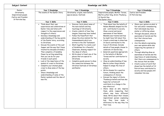| Subject Content                                                                | Knowledge and Skills                                                                                                                                                                                                                                                                                                                                                                                                                                                                                                                                                                                                                                                                                                                                                        |                                                                                                                                                                                                                                                                                                                                                                                                                                                                                                                                                                                                                                                           |                                                                                                                                                                                                                                                                                                                                                                                                                                                                                                                                                                                                                                                                                                                                                                                                                                                                                                                                                                                                                                                                                                     |                                                                                                                                                                                                                                                                                                                                                                                                                                                                                                                                                                                                                                                                  |
|--------------------------------------------------------------------------------|-----------------------------------------------------------------------------------------------------------------------------------------------------------------------------------------------------------------------------------------------------------------------------------------------------------------------------------------------------------------------------------------------------------------------------------------------------------------------------------------------------------------------------------------------------------------------------------------------------------------------------------------------------------------------------------------------------------------------------------------------------------------------------|-----------------------------------------------------------------------------------------------------------------------------------------------------------------------------------------------------------------------------------------------------------------------------------------------------------------------------------------------------------------------------------------------------------------------------------------------------------------------------------------------------------------------------------------------------------------------------------------------------------------------------------------------------------|-----------------------------------------------------------------------------------------------------------------------------------------------------------------------------------------------------------------------------------------------------------------------------------------------------------------------------------------------------------------------------------------------------------------------------------------------------------------------------------------------------------------------------------------------------------------------------------------------------------------------------------------------------------------------------------------------------------------------------------------------------------------------------------------------------------------------------------------------------------------------------------------------------------------------------------------------------------------------------------------------------------------------------------------------------------------------------------------------------|------------------------------------------------------------------------------------------------------------------------------------------------------------------------------------------------------------------------------------------------------------------------------------------------------------------------------------------------------------------------------------------------------------------------------------------------------------------------------------------------------------------------------------------------------------------------------------------------------------------------------------------------------------------|
| Easter                                                                         | Year 3 Knowledge                                                                                                                                                                                                                                                                                                                                                                                                                                                                                                                                                                                                                                                                                                                                                            | Year 4 Knowledge                                                                                                                                                                                                                                                                                                                                                                                                                                                                                                                                                                                                                                          | Year 5 Knowledge                                                                                                                                                                                                                                                                                                                                                                                                                                                                                                                                                                                                                                                                                                                                                                                                                                                                                                                                                                                                                                                                                    | Year 6 Knowledge                                                                                                                                                                                                                                                                                                                                                                                                                                                                                                                                                                                                                                                 |
| Christianity<br>Inspirational people<br>Justice and freedom<br>St Patricks Day | The events of the Easter Story                                                                                                                                                                                                                                                                                                                                                                                                                                                                                                                                                                                                                                                                                                                                              | Christianity; origins, main beliefs,<br>special places, festivals                                                                                                                                                                                                                                                                                                                                                                                                                                                                                                                                                                                         | Inspirational people; Mother Teresa,<br>Martin Luther King, Greta Thunberg.<br>St David's Day<br>The Easter story                                                                                                                                                                                                                                                                                                                                                                                                                                                                                                                                                                                                                                                                                                                                                                                                                                                                                                                                                                                   | Justice and Freedom<br>St Patricks Day                                                                                                                                                                                                                                                                                                                                                                                                                                                                                                                                                                                                                           |
|                                                                                | Year 3 Skills                                                                                                                                                                                                                                                                                                                                                                                                                                                                                                                                                                                                                                                                                                                                                               | Year 4 Skills                                                                                                                                                                                                                                                                                                                                                                                                                                                                                                                                                                                                                                             | Year 5 Skills                                                                                                                                                                                                                                                                                                                                                                                                                                                                                                                                                                                                                                                                                                                                                                                                                                                                                                                                                                                                                                                                                       | Year 6 Skills                                                                                                                                                                                                                                                                                                                                                                                                                                                                                                                                                                                                                                                    |
|                                                                                | Think about their own<br>experiences and celebrations at<br>Easter time and listen with<br>respect to the experiences and<br>thoughts of others)<br>Develop a knowledge and<br>understanding of the key points<br>of the Easter story, according<br>to Christians.<br>Discuss the events of the Last<br>Supper and the way that Jesus<br>treated his disciples (friends.)<br>Then complete a friendship<br>flower by writing something<br>that you can do for your<br>friends in each petal.<br>Look at the importance of the<br>$\bullet$<br>symbol of cross to Christians.<br>Complete your stained glass<br>$\bullet$<br>cross to show some of the key<br>points.<br>Show a knowledge and<br>understanding of some of the<br>Easter symbols and the idea of<br>new life. | Discover facts about some of<br>the main beliefs and key<br>teachings of Christianity.<br>Create a sketch of how they<br>$\bullet$<br>imagine Jesus may have looked.<br>• Follow the PowerPoint that<br>shows the story behind the Ten<br>Commandments which are<br>written in the Old Testament.<br>Work together to create a set<br>$\bullet$<br>of Guidelines for a Peaceful<br>Classroom, showing respect for<br>the ideas of others.<br>Write about at least one of the<br>places that are special to<br>Christians.<br>Complete puzzle pieces to show<br>$\bullet$<br>the connection between the<br>Christian festivals of Christmas<br>and Easter. | Think about how the beliefs of<br>Nelson Mandela shaped his life<br>and contributed to society.<br>Show a social and moral<br>awareness of how Nelson<br>Mandela was treated and how<br>he might have felt about this.<br>• Create a mind map to show how<br>St David contributed to the<br>lives of Christians. Include<br>details of how people choose to<br>celebrate St David's Day.<br>Generate questions appropriate<br>to the beliefs of Mother<br>Teresa and her contribution to<br>society.<br>Show an understanding of how<br>Martin Luther King's beliefs<br>helped to shape the lives of<br>others.<br>Write dreams for a positive<br>future, thinking about the<br>consequence of choices.<br>Discuss the impact of Greta<br>Thunberg's beliefs and how she<br>hopes her actions will<br>contribute to a change in the<br>way others act<br>· Share ideas on who inspires<br>them, while respecting that<br>others may have different<br>ideas. Write about their chosen<br>inspirational person explaining<br>how they have made a<br>difference to the way they live<br>their lives. | Share your opinion on what is<br>$\bullet$<br>fair and unfair remembering<br>that individuals may have<br>similar or differing values.<br>Through discussion, show an<br>awareness of morals and the<br>fact that choices have<br>consequences.<br>Join the debate expressing<br>your own opinion while also<br>respecting the opinions of<br>others.<br>Through debating show an<br>awareness of morals and the<br>importance of understanding<br>that there are consequences to<br>the choices that we make.<br>Create a piece of work that<br>shows how the beliefs of St<br>Patrick have contributed to<br>society and how people still<br>remember him now. |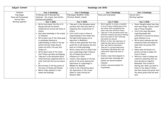| Subject Content                                      | <b>Knowledge and Skills</b>                                                                                                                                                                                                                                                                                                                                                                                                                                                                                                                                                                                                                                                              |                                                                                                                                                                                                                                                                                                                                                                                                                                                                                                                                                                                                                                                                                                                                                                 |                                                                                                                                                                                                                                                                                                                                                                                                                                                                                                                                                                                                                                                                                                                 |                                                                                                                                                                                                                                                                                                                                                                                                                                                                                                                                                                                                                                                                                       |
|------------------------------------------------------|------------------------------------------------------------------------------------------------------------------------------------------------------------------------------------------------------------------------------------------------------------------------------------------------------------------------------------------------------------------------------------------------------------------------------------------------------------------------------------------------------------------------------------------------------------------------------------------------------------------------------------------------------------------------------------------|-----------------------------------------------------------------------------------------------------------------------------------------------------------------------------------------------------------------------------------------------------------------------------------------------------------------------------------------------------------------------------------------------------------------------------------------------------------------------------------------------------------------------------------------------------------------------------------------------------------------------------------------------------------------------------------------------------------------------------------------------------------------|-----------------------------------------------------------------------------------------------------------------------------------------------------------------------------------------------------------------------------------------------------------------------------------------------------------------------------------------------------------------------------------------------------------------------------------------------------------------------------------------------------------------------------------------------------------------------------------------------------------------------------------------------------------------------------------------------------------------|---------------------------------------------------------------------------------------------------------------------------------------------------------------------------------------------------------------------------------------------------------------------------------------------------------------------------------------------------------------------------------------------------------------------------------------------------------------------------------------------------------------------------------------------------------------------------------------------------------------------------------------------------------------------------------------|
| Hinduism                                             | Year 3 Knowledge                                                                                                                                                                                                                                                                                                                                                                                                                                                                                                                                                                                                                                                                         | Year 4 Knowledge                                                                                                                                                                                                                                                                                                                                                                                                                                                                                                                                                                                                                                                                                                                                                | Year 5 Knowledge                                                                                                                                                                                                                                                                                                                                                                                                                                                                                                                                                                                                                                                                                                | Year 6 Knowledge                                                                                                                                                                                                                                                                                                                                                                                                                                                                                                                                                                                                                                                                      |
| Pilgrimages<br>Peace and forgiveness<br>How we learn | St George and St Georges Day<br>Hinduism - the origins, main beliefs,<br>festivals and symbols.                                                                                                                                                                                                                                                                                                                                                                                                                                                                                                                                                                                          | Pilgrimages; Buddhist, Hindu,<br>Christian, Muslim, Jewish                                                                                                                                                                                                                                                                                                                                                                                                                                                                                                                                                                                                                                                                                                      | Peace and forgiveness                                                                                                                                                                                                                                                                                                                                                                                                                                                                                                                                                                                                                                                                                           | How we learn<br>Working together                                                                                                                                                                                                                                                                                                                                                                                                                                                                                                                                                                                                                                                      |
| Working together                                     | Year 3 Skills                                                                                                                                                                                                                                                                                                                                                                                                                                                                                                                                                                                                                                                                            | Year 4 Skills                                                                                                                                                                                                                                                                                                                                                                                                                                                                                                                                                                                                                                                                                                                                                   | Year 5 Skills                                                                                                                                                                                                                                                                                                                                                                                                                                                                                                                                                                                                                                                                                                   | Year 6 Skills                                                                                                                                                                                                                                                                                                                                                                                                                                                                                                                                                                                                                                                                         |
|                                                      | Write facts about the life of St<br>George and how his beliefs<br>influenced his actions and those of<br>others.<br>Gain some knowledge in the origins<br>of Hinduism.<br>Write about one of the Hindu gods<br>or goddesses showing an<br>understanding of some of the key<br>beliefs and how these shared<br>values can affect the way that<br>Hindus act.<br>Write about some of the items<br>that Hindu's use when worshipping.<br>Take part in the discussion about<br>Hindu festivals comparing them to<br>other festivals that you are aware<br>of.<br>Record some of the key points of<br>the story of Holika and Prahlad.<br>Match Hindu symbols to their<br>names and meanings. | Take part in the discussion about<br>journeys that they have been on,<br>comparing their experiences to<br>others.<br>Join in with a quiz to show an<br>understanding of the reason why<br>the Eight Great places are so<br>important to Buddhists<br>Think of some questions that they<br>would like to ask someone who has<br>been on a Hindu pilgrimage.<br>Write a diary entry to reflect how<br>such a pilgrimage might influence<br>the attitudes and actions of<br>followers of a faith.<br>Create a flow diagram of the key<br>points of the story showing the<br>importance of a pilgrimage to<br>Makkah for Muslims.<br>Listen to the information about<br>$\bullet$<br>the importance of the rituals<br>linked to Jews visiting the<br>Western Wall. | Work together to create a checklist<br>of acts of peace thinking about their<br>own values, while recognising that<br>others may have different values.<br>Take part in the discussion about how<br>different religions view peace thinking<br>about how some of their teachings<br>and beliefs are shared.<br>Reflect on their own experience of<br>exploring inner peace according to<br>their own identity and beliefs.<br>Take part in a group drama about<br>forgiveness expressing their own<br>values while respecting those of<br>others.<br>Create a class Venn diagram to<br>show how some teachings and<br>beliefs are shared between<br>religions.<br>Create a universal symbol for<br>forgiveness. | Share thoughts about how they<br>learn new things. Create a mind<br>map of these thoughts<br>Join in the class discussion<br>regarding people who<br>contribute to society by being a<br>good influence on us.<br>Write about someone who has<br>influenced them and helped to<br>make them the person that<br>they are.<br>Name some attributes of a<br>person can help to shape the<br>lives of others.<br>Work as a team to design and<br>construct something that you<br>have decided on together.<br>Remember that as well as<br>sharing your ideas, you need to<br>listen to the ideas of others<br>and then choose the option that<br>the whole group think will work<br>best. |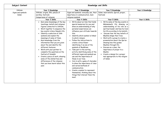| Subject Content            | <b>Knowledge and Skills</b>                                                                                                                                                                                                                                                                                                                                                                                                                                                                                                                                                                                                                                                                                                                                                                      |                                                                                                                                                                                                                                                                                                                                                                                                                                                                                                                                                                                                                                                                                                                                                                                                                                                     |                                                                                                                                                                                                                                                                                                                                                                                                                                                                                                                                                                                                                             |                  |
|----------------------------|--------------------------------------------------------------------------------------------------------------------------------------------------------------------------------------------------------------------------------------------------------------------------------------------------------------------------------------------------------------------------------------------------------------------------------------------------------------------------------------------------------------------------------------------------------------------------------------------------------------------------------------------------------------------------------------------------------------------------------------------------------------------------------------------------|-----------------------------------------------------------------------------------------------------------------------------------------------------------------------------------------------------------------------------------------------------------------------------------------------------------------------------------------------------------------------------------------------------------------------------------------------------------------------------------------------------------------------------------------------------------------------------------------------------------------------------------------------------------------------------------------------------------------------------------------------------------------------------------------------------------------------------------------------------|-----------------------------------------------------------------------------------------------------------------------------------------------------------------------------------------------------------------------------------------------------------------------------------------------------------------------------------------------------------------------------------------------------------------------------------------------------------------------------------------------------------------------------------------------------------------------------------------------------------------------------|------------------|
| Sikhism                    | Year 3 Knowledge                                                                                                                                                                                                                                                                                                                                                                                                                                                                                                                                                                                                                                                                                                                                                                                 | Year 4 Knowledge                                                                                                                                                                                                                                                                                                                                                                                                                                                                                                                                                                                                                                                                                                                                                                                                                                    | Year 5 Knowledge                                                                                                                                                                                                                                                                                                                                                                                                                                                                                                                                                                                                            | Year 6 Knowledge |
| Signs and symbols<br>Islam | Sikhism; origins, 5K's, places of<br>worship, festivals<br>Comparisons of religions<br>Year 3 Skills<br>Gain some knowledge of the key<br>$\bullet$<br>teachings, beliefs and religious<br>figures connected to Sikhism.<br>Work together to sequence the<br>$\bullet$<br>key events in Guru Nanak's life.<br>Identify a selection of Sikh<br>$\bullet$<br>symbols and explain the<br>meanings of some of them.<br>Gain knowledge from the<br>information that you are given<br>about the and identify the<br>different features.<br>Work with your partner to<br>$\bullet$<br>complete the questions on the<br>festival of Vaisakhi<br>Create a piece of work, showing<br>$\bullet$<br>some of the similarities and<br>differences of the religions<br>that you have learnt about this<br>year. | Signs and symbols; everyday use, their<br>importance in communication, main<br>religious symbols<br>Year 4 Skills<br>Write about an item that holds<br>$\bullet$<br>special memories for you and<br>show an understanding of why<br>personal experiences can<br>influence your attitude towards<br>this.<br>Identify which symbol is linked<br>to which religion.<br>Follow the instructions to<br>create a lotus flower<br>identifying it as one of the<br>symbols of Buddhism.<br>Take part in the sorting<br>$\bullet$<br>activity identifying some of the<br>different signs and symbols we<br>use and the importance of<br>these in our lives.<br>Join in with a game of charades<br>to show the importance of clear<br>and varied methods of<br>communication.<br>Create a symbol to represent<br>$\bullet$<br>themselves, thinking about the | Islam; main beliefs, Qur'an, prayer,<br>festivals<br>Year 5 Skills<br>Write some of the key events in<br>$\bullet$<br>Muhammad's life showing an $\circ$<br>understanding of his role as a<br>spiritual leader and how he lived<br>his life according to his beliefs.<br>Discuss how the key beliefs of<br>Muslims shape their lives.<br>Work with a group to create a<br>$\bullet$<br>presentation about the Qur'an<br>showing how this guides<br>Muslims through life.<br>Discuss as a class, the<br>importance of prayer to a<br>Muslim.<br>Create a design for a prayer<br>mat appropriate to the religion<br>of Islam. | Year 6 Skills    |
|                            |                                                                                                                                                                                                                                                                                                                                                                                                                                                                                                                                                                                                                                                                                                                                                                                                  | things that interest them the<br>most.                                                                                                                                                                                                                                                                                                                                                                                                                                                                                                                                                                                                                                                                                                                                                                                                              |                                                                                                                                                                                                                                                                                                                                                                                                                                                                                                                                                                                                                             |                  |

|        | Year 6 Knowledge |
|--------|------------------|
| r,     |                  |
|        |                  |
|        |                  |
|        | Year 6 Skills    |
| nts in |                  |
| g an   | $\circ$          |
| as a   |                  |
| lived  |                  |
| liefs. |                  |
| fs of: |                  |
|        |                  |
| te a   |                  |
| r'an   |                  |
|        |                  |
|        |                  |
|        |                  |
|        |                  |
|        |                  |
| 2r     |                  |
| igion  |                  |
|        |                  |
|        |                  |
|        |                  |
|        |                  |
|        |                  |
|        |                  |
|        |                  |
|        |                  |
|        |                  |
|        |                  |
|        |                  |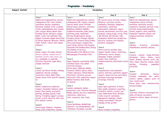### Progression - Vocabulary

**Subject Content Vocabulary Year 3 Year 4 Year 5 Year 6** Term 1 Rights and responsibilities, choices, consequences, RE, tribes, beliefs, contribute, society, community, lifestyles. Judaism, faith, covenant, Torah, commandments, God, Jewish, Jew, religion, Moses, Mount Sinai. founded, Israel, Abraham, religion. Rabbi, Torah, Yad, Kabbalah, Chai, Kippah/ Yarmulke, Magen David (Star of David), Menorah, Mezuzah, Shofar, Tallit, Tefillin, Tzitzit, Yad, Hamsa Passover Term 2 Diwali, rangoli, diva lamp, festival, Advent calendar, random acts of kindness, wreath, hope, peace, joy, love, Hanukkah, oil, menorah, Christian, Nazareth, angel, Mary, Joseph, emotions Term 3 Literal, non-literal, Parable, feelings, shepherd, reaction, prodigal, characters, talent, skills, Fable, Aesop, moral, truth, untruth, honesty, lie Term 4 Easter, celebration, celebrate, respect, Jerusalem, Passover, palm leaves, Palm Sunday, procession, plotting, disciples, guards, tomb, betray, friendship, support, praises, arrest, crucify, sacrifice, altar, new life, symbols, custom, Term 5 Patron Saint, Emperor, Hinduism, Hindu, India, Indus River, founder, Term 1 Rights and responsibilities, choices, consequences, RE, religion, religious Sacred, belief, moral, attitude shared values, behaviour, outcomes, Buddhism, Buddhist, Buddha, Siddhartha Gautama, India, palace, suffering, monk, meditation. Nirvana, Enlightenment, Karma, Precepts, Karma, Precepts, Morals. Kalasha (The Treasure Vase), Padma (The Lotus Flower), Sankha (The Conch Shell), Chattra (The Parasol), Shrivasta (The Endless Knot), Dhvaja (The Banner of Victory), Dharmachakra (The Wheel of Life), Matsyayugma (The Golden Fish). Term 2 Pagan, Paganism, countryside, Rabbi Jonathan Sacks, Jew, belief, interfaith dialogue. Patron Saint, celebrate, Malala Yousafzai, Muslim, Qur'an, Islam, Taliban, education, United Nations Christianity, Christian, survival, instruction, faith, inspiration, impact, Malala Yousafzai, Bear Grylls, St Andrew Term 3 Sustain, community, kosher, preparation, Lent, Christian, Ramadan, Muslin, abstain, sacrifice, temptation, celebration, celebratory faith, community, fast, feast, Term 4 Jesus, Bethlehem, Middle East, Nazareth, Ten Commandments, Old Testament, Jerusalem, Lourdes, Term 1 RE, Sacred, moral, attitude, religi Religious, contribute, society, community, lifestyles, indigenous commitment, committed, improvement, dedication, impact, success, perseverance, sacrifice, progress, coming of age, voting, ri Bar Mitzvah, Bat Mitzvah, Holy Communion, Catholicism, perspect sacrifice, religious, non-religious, benefits, infographic. Term 2 Worth, worthy, worship, value, respect, loyalty, honour, similariti differences, church, mosque, synagogue, temple, gurdwara reason, text, traditions, commercialisation, materialistic, s media. Term 3 Organisations, local community, charity, charities, contribute, sup respect, values activities, particip persuade, encourage, persuade, encourage, interview Term 4 equal rights, apartheid, St David, dove, monks, monastery, preaching cathedral, Catholic, convent, nun, vows, Nobel Peace Prize, Minister, racism, boycott, spokesman, segregation, Asperger, climate change, environment, lifestyle changes, strike, protest Term 5 Peace, freedom, tranquillity

|        | Year 6                                    |
|--------|-------------------------------------------|
|        | Term 1                                    |
| ion    | Rights and responsibilities, choices,     |
|        | consequences, moral, attitude,            |
|        | worldview. contribute, society,           |
|        | community, lifestyles. spiritual, ritual, |
|        | attitude, beyond understanding            |
| goal,  | atheist, agnostic, deist, pantheist,      |
| itual, | Humanism, humanist, atheist, non-         |
|        | religious worldview, influential,         |
| ive.   | thinkers.                                 |
|        |                                           |
|        | Term 2                                    |
|        | dilemma, Armistice, surrender,            |
|        | remembrance, wreaths, cultures,           |
|        |                                           |
| ies,   | Term 3                                    |
|        |                                           |
|        | Creation, created, Judeo-Christian,       |
|        | Abrahamic, Cobra, Vishnu, lotus           |
| social | flower, Brahma, heavens, earth, sky,      |
|        | flora, fauna, Universe, oceans, chaos,    |
|        | swirling, all-seeing, populated,          |
|        | protected.                                |
|        |                                           |
| port   | Term 4                                    |
| oate,  | Freedom, definitions, Justice,            |
|        | fairness, reasonable, fair, unfair,       |
|        | conflict, debate, support, point of       |
|        | view, counter point.                      |
|        | Patron Saint, slave, commemorated,        |
|        | national holiday,                         |
| g,     |                                           |
|        | Term 5                                    |
|        | Tolerance, influence, encouraged, life    |
|        | skills, attributes, successful,           |
|        | teamwork, achieve, inspire, structure,    |
|        | positive                                  |
|        |                                           |
|        |                                           |
|        |                                           |
|        |                                           |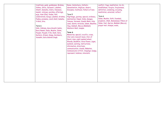| traditions, gods, goddesses, Brahma,<br>Vishnu, Shiva, Sarawati, Lakshmi,<br>Shakti, Ganesha, Indra, Hanuman,<br>mandir, statues, worship, offerings,<br>puja, Aum (Om), Vedas, Holi,<br>celebrations, Durga, Lakshmi, Krishna,<br>Padma, pranama, conch shell, kalasha,<br>trishul, diva.<br>Term 6<br>Sikh, Sikhism, Guru Granth Sahib,<br>Guru Nanak, India, Muslim, Islam,<br>Punjab, Punjabi, 5 Ks, Kesh, Kara,<br>Kachera, Kirpan, Kanga, Gurdwara,<br>Vaisakhi, Guru Gobind Singh. | Rome, Canterbury, Catholic,<br>denomination, Anglican, desert,<br>Disciples, livelihood, fishers of men.<br>Term 5<br>Pilgrimage, journey, special, ordinary,<br>destination, Nepal, India, Ganges,<br>Yamuna, Varanasi, Kumbh Mela, Holy<br>Land, Saints, miracles, Islam, Muslims,<br>Hajj, Kabbah, Mecca (Makkah)<br>Western Wall, temple.<br>Term 6<br>Memories, special, crucifix, cross,<br>Star and crescent moon, Star of<br>David, Aum, eight spoked wheel,<br>Khanda, Buddhist, lotus flower, signs,<br>symbols, warning, instructions,<br>information, directions,<br>communication, visuals, Makaton,<br>Communicate in Print, SingSign, badge,<br>represent, hobbies, interests. | conflict, Yoga, meditation, tai chi,<br>mindfulness, forgive, forgiveness,<br>definition, condoning, excusing,<br>meditation, universal, reflect.<br>Term 6<br>Islam, Muslim, faith, founded,<br>prophets, Allah, Muhammad, Pillars<br>Islam, fast, Qur'an, Makkah (Mecc<br>prayer mat, mosque, wudu, |
|-------------------------------------------------------------------------------------------------------------------------------------------------------------------------------------------------------------------------------------------------------------------------------------------------------------------------------------------------------------------------------------------------------------------------------------------------------------------------------------------|-----------------------------------------------------------------------------------------------------------------------------------------------------------------------------------------------------------------------------------------------------------------------------------------------------------------------------------------------------------------------------------------------------------------------------------------------------------------------------------------------------------------------------------------------------------------------------------------------------------------------------------------------------------------------------------------------|-------------------------------------------------------------------------------------------------------------------------------------------------------------------------------------------------------------------------------------------------------------------------------------------------------|

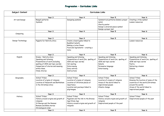# Progression - Curriculum Links

| Subject Content   | <b>Curriculum Links</b>                                                                                                                                                                       |                                                                                                                                                                 |                                                                                                                                                 |                                                                                                                                                                               |
|-------------------|-----------------------------------------------------------------------------------------------------------------------------------------------------------------------------------------------|-----------------------------------------------------------------------------------------------------------------------------------------------------------------|-------------------------------------------------------------------------------------------------------------------------------------------------|-------------------------------------------------------------------------------------------------------------------------------------------------------------------------------|
|                   | Year 3                                                                                                                                                                                        | Year 4                                                                                                                                                          | Year 5                                                                                                                                          | Year 6                                                                                                                                                                        |
| Art and Design    | Rangoli patterns<br>Symbols                                                                                                                                                                   | Designing symbols                                                                                                                                               | Symmetrical patterns (Islamic prayer<br>mats)<br>Charity poster<br>Design a universal peace symbol<br>Design a prayer mat                       | Creating a tribe symbol<br>Lesson resources                                                                                                                                   |
|                   | Year 3                                                                                                                                                                                        | Year 4                                                                                                                                                          | Year 5                                                                                                                                          | Year 6                                                                                                                                                                        |
| Computing         |                                                                                                                                                                                               |                                                                                                                                                                 |                                                                                                                                                 |                                                                                                                                                                               |
|                   | Year 3                                                                                                                                                                                        | Year 4                                                                                                                                                          | Year 5                                                                                                                                          | Year 6                                                                                                                                                                        |
| Design Technology | Puppets for Nativity story                                                                                                                                                                    | Create a board game linked to<br><b>Buddhist beliefs</b><br>Making a Lotus flower<br>Food and ingredients - creating a<br>menu                                  |                                                                                                                                                 | Lesson resources                                                                                                                                                              |
|                   | Year 3                                                                                                                                                                                        | Year 4                                                                                                                                                          | Year 5                                                                                                                                          | Year 6                                                                                                                                                                        |
| English           | Drama - Nativity story<br>Speaking and listening<br>Presentation of work (including<br>spelling of CEW and topic words)<br>Comparison of stories and meaning<br>within them.<br>Hindu Stories | Speaking and listening<br>Presentation of work (Inc. spelling of<br>CEW and topic words)<br>Hot seating<br>Interviewing<br>Diary entries<br><b>Instructions</b> | Speaking and listening<br>Presentation of work (inc. spelling of<br>CEW and topic words<br>Debate<br>Persuasive language<br><b>Interviewing</b> | Speaking and listening<br>Presentation of work (inc. spelling of<br>CEW and topic words<br>Poetry<br>Delivering a lesson<br>Debate                                            |
|                   | Year 3                                                                                                                                                                                        | Year 4                                                                                                                                                          | Year 5                                                                                                                                          | Year 6                                                                                                                                                                        |
| Geography         | <b>School Tribes</b><br>Location of origins of religions<br>Location of Nazareth and Bethlehem<br>in the Christmas story                                                                      | <b>School Tribes</b><br>Location of origins of religions<br>Location of Christian places of<br>importance<br>Location and journeys linked to<br>pilgrimages.    | <b>School Tribes</b><br>Location of origins of religions<br>Areas of the world linked to<br>inspirational people<br>Climate change              | <b>School Tribes</b><br>Knowing the location of some of the<br>countries of the world (Christmas<br>around the world)<br>Areas of the world linked to<br>inspirational people |
|                   | Year 3                                                                                                                                                                                        | Year 4                                                                                                                                                          | Year 5                                                                                                                                          | Year 6                                                                                                                                                                        |
| History           | <b>School Tribes</b><br>History around origins and growth of<br>religions<br>St George and the Romans<br>Romans and Bible stories<br>Chronological order                                      | School Tribes<br>Paganism and the link to the Bronze<br>Age/Stone Age<br>History around origins and growth of<br>religions                                      | <b>School Tribes</b><br>History around origins and growth of<br>religions<br>Inspirational people of the past                                   | <b>School Tribes</b><br>Inspirational people of the past                                                                                                                      |
|                   | Year 3                                                                                                                                                                                        | Year 4                                                                                                                                                          | Year 5                                                                                                                                          | Year 6                                                                                                                                                                        |